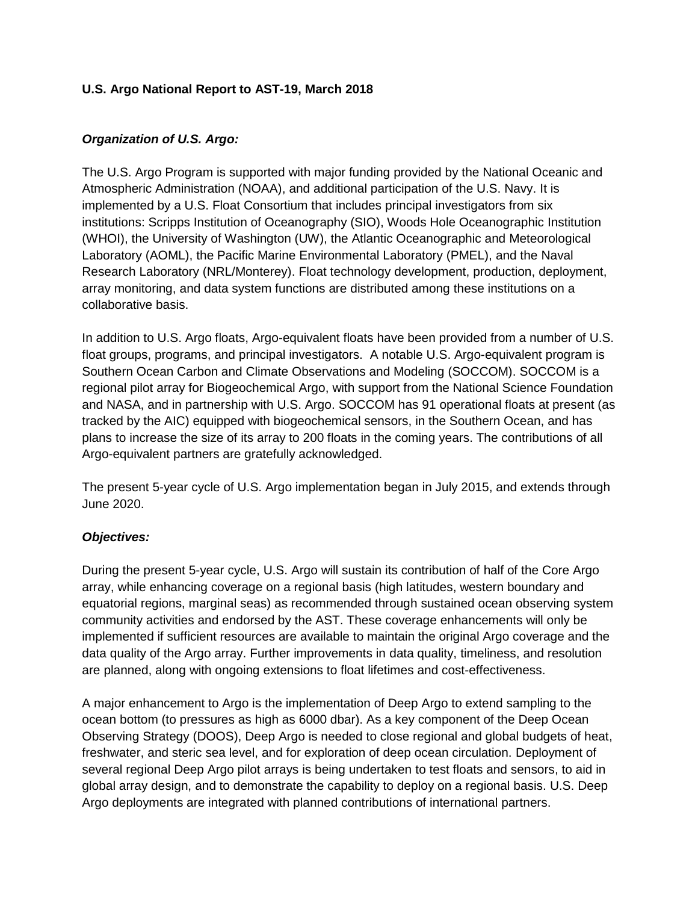# **U.S. Argo National Report to AST-19, March 2018**

#### *Organization of U.S. Argo:*

The U.S. Argo Program is supported with major funding provided by the National Oceanic and Atmospheric Administration (NOAA), and additional participation of the U.S. Navy. It is implemented by a U.S. Float Consortium that includes principal investigators from six institutions: Scripps Institution of Oceanography (SIO), Woods Hole Oceanographic Institution (WHOI), the University of Washington (UW), the Atlantic Oceanographic and Meteorological Laboratory (AOML), the Pacific Marine Environmental Laboratory (PMEL), and the Naval Research Laboratory (NRL/Monterey). Float technology development, production, deployment, array monitoring, and data system functions are distributed among these institutions on a collaborative basis.

In addition to U.S. Argo floats, Argo-equivalent floats have been provided from a number of U.S. float groups, programs, and principal investigators. A notable U.S. Argo-equivalent program is Southern Ocean Carbon and Climate Observations and Modeling (SOCCOM). SOCCOM is a regional pilot array for Biogeochemical Argo, with support from the National Science Foundation and NASA, and in partnership with U.S. Argo. SOCCOM has 91 operational floats at present (as tracked by the AIC) equipped with biogeochemical sensors, in the Southern Ocean, and has plans to increase the size of its array to 200 floats in the coming years. The contributions of all Argo-equivalent partners are gratefully acknowledged.

The present 5-year cycle of U.S. Argo implementation began in July 2015, and extends through June 2020.

#### *Objectives:*

During the present 5-year cycle, U.S. Argo will sustain its contribution of half of the Core Argo array, while enhancing coverage on a regional basis (high latitudes, western boundary and equatorial regions, marginal seas) as recommended through sustained ocean observing system community activities and endorsed by the AST. These coverage enhancements will only be implemented if sufficient resources are available to maintain the original Argo coverage and the data quality of the Argo array. Further improvements in data quality, timeliness, and resolution are planned, along with ongoing extensions to float lifetimes and cost-effectiveness.

A major enhancement to Argo is the implementation of Deep Argo to extend sampling to the ocean bottom (to pressures as high as 6000 dbar). As a key component of the Deep Ocean Observing Strategy (DOOS), Deep Argo is needed to close regional and global budgets of heat, freshwater, and steric sea level, and for exploration of deep ocean circulation. Deployment of several regional Deep Argo pilot arrays is being undertaken to test floats and sensors, to aid in global array design, and to demonstrate the capability to deploy on a regional basis. U.S. Deep Argo deployments are integrated with planned contributions of international partners.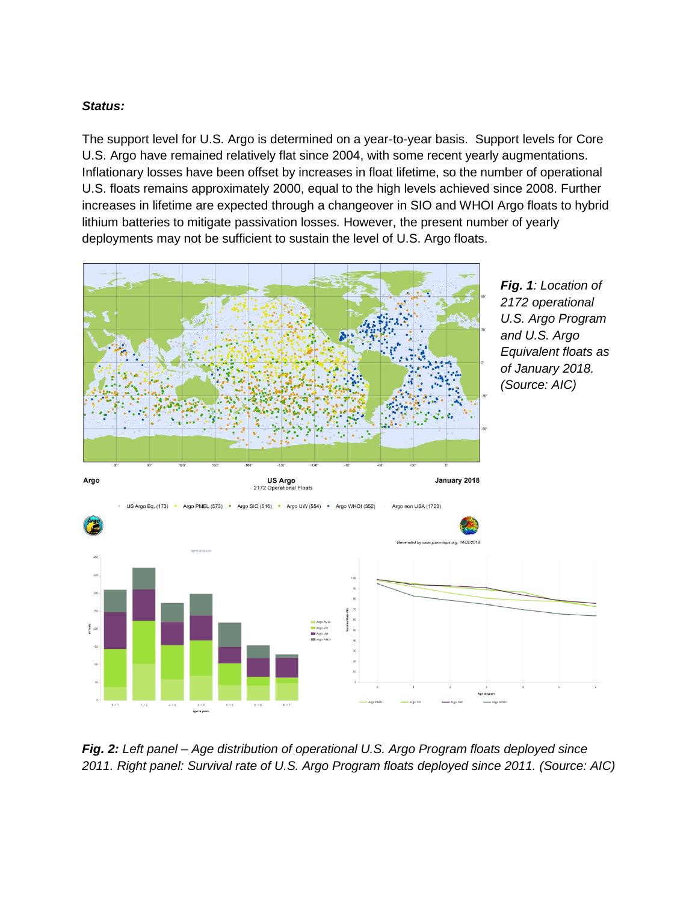# *Status:*

The support level for U.S. Argo is determined on a year-to-year basis. Support levels for Core U.S. Argo have remained relatively flat since 2004, with some recent yearly augmentations. Inflationary losses have been offset by increases in float lifetime, so the number of operational U.S. floats remains approximately 2000, equal to the high levels achieved since 2008. Further increases in lifetime are expected through a changeover in SIO and WHOI Argo floats to hybrid lithium batteries to mitigate passivation losses. However, the present number of yearly deployments may not be sufficient to sustain the level of U.S. Argo floats.



*Fig. 2: Left panel – Age distribution of operational U.S. Argo Program floats deployed since 2011. Right panel: Survival rate of U.S. Argo Program floats deployed since 2011. (Source: AIC)*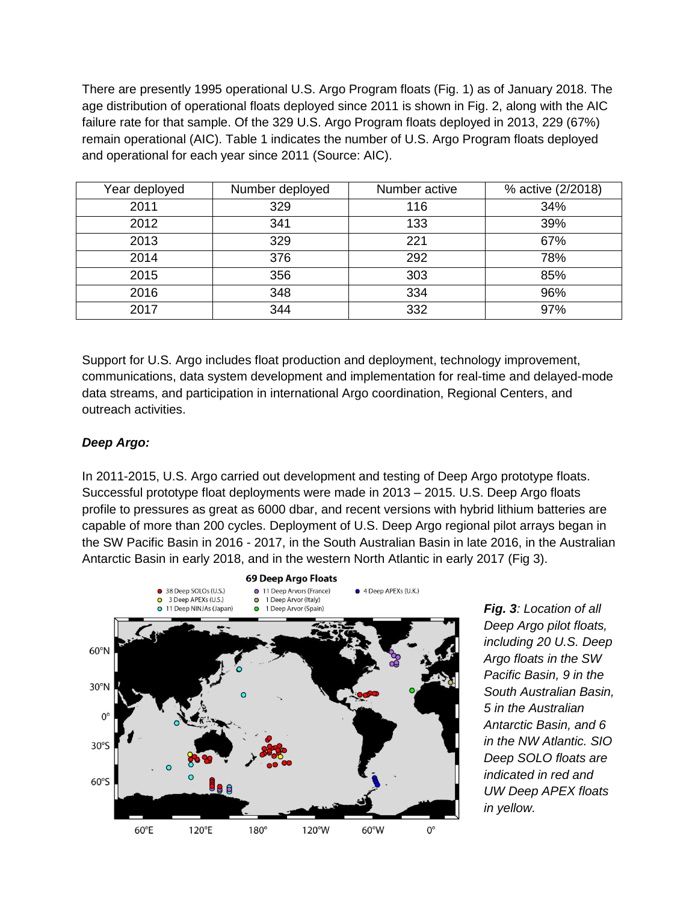There are presently 1995 operational U.S. Argo Program floats (Fig. 1) as of January 2018. The age distribution of operational floats deployed since 2011 is shown in Fig. 2, along with the AIC failure rate for that sample. Of the 329 U.S. Argo Program floats deployed in 2013, 229 (67%) remain operational (AIC). Table 1 indicates the number of U.S. Argo Program floats deployed and operational for each year since 2011 (Source: AIC).

| Year deployed | Number deployed | Number active | % active (2/2018) |
|---------------|-----------------|---------------|-------------------|
| 2011          | 329             | 116           | 34%               |
| 2012          | 341             | 133           | 39%               |
| 2013          | 329             | 221           | 67%               |
| 2014          | 376             | 292           | 78%               |
| 2015          | 356             | 303           | 85%               |
| 2016          | 348             | 334           | 96%               |
| 2017          | 344             | 332           | 97%               |

Support for U.S. Argo includes float production and deployment, technology improvement, communications, data system development and implementation for real-time and delayed-mode data streams, and participation in international Argo coordination, Regional Centers, and outreach activities.

# *Deep Argo:*

In 2011-2015, U.S. Argo carried out development and testing of Deep Argo prototype floats. Successful prototype float deployments were made in 2013 – 2015. U.S. Deep Argo floats profile to pressures as great as 6000 dbar, and recent versions with hybrid lithium batteries are capable of more than 200 cycles. Deployment of U.S. Deep Argo regional pilot arrays began in the SW Pacific Basin in 2016 - 2017, in the South Australian Basin in late 2016, in the Australian Antarctic Basin in early 2018, and in the western North Atlantic in early 2017 (Fig 3).



*Fig. 3: Location of all Deep Argo pilot floats, including 20 U.S. Deep Argo floats in the SW Pacific Basin, 9 in the South Australian Basin, 5 in the Australian Antarctic Basin, and 6 in the NW Atlantic. SIO Deep SOLO floats are indicated in red and UW Deep APEX floats in yellow.*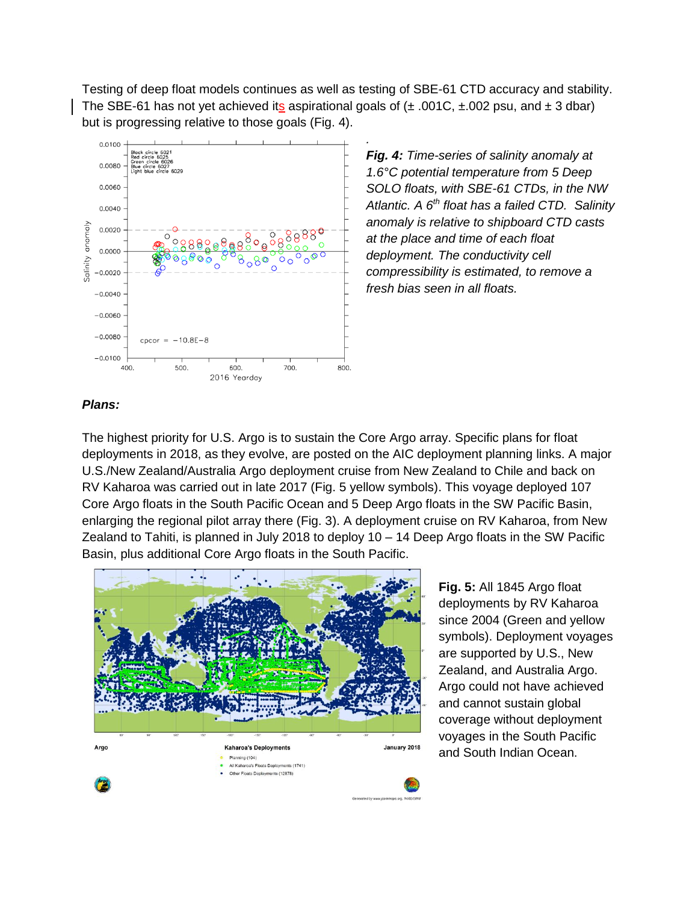Testing of deep float models continues as well as testing of SBE-61 CTD accuracy and stability. The SBE-61 has not yet achieved its aspirational goals of  $(\pm .001C, \pm .002$  psu, and  $\pm 3$  dbar) but is progressing relative to those goals (Fig. 4).

*.*



*Fig. 4: Time-series of salinity anomaly at 1.6°C potential temperature from 5 Deep SOLO floats, with SBE-61 CTDs, in the NW Atlantic. A 6th float has a failed CTD. Salinity anomaly is relative to shipboard CTD casts at the place and time of each float deployment. The conductivity cell compressibility is estimated, to remove a fresh bias seen in all floats.*

#### *Plans:*

The highest priority for U.S. Argo is to sustain the Core Argo array. Specific plans for float deployments in 2018, as they evolve, are posted on the AIC deployment planning links. A major U.S./New Zealand/Australia Argo deployment cruise from New Zealand to Chile and back on RV Kaharoa was carried out in late 2017 (Fig. 5 yellow symbols). This voyage deployed 107 Core Argo floats in the South Pacific Ocean and 5 Deep Argo floats in the SW Pacific Basin, enlarging the regional pilot array there (Fig. 3). A deployment cruise on RV Kaharoa, from New Zealand to Tahiti, is planned in July 2018 to deploy 10 – 14 Deep Argo floats in the SW Pacific Basin, plus additional Core Argo floats in the South Pacific.



**Fig. 5:** All 1845 Argo float deployments by RV Kaharoa since 2004 (Green and yellow symbols). Deployment voyages are supported by U.S., New Zealand, and Australia Argo. Argo could not have achieved and cannot sustain global coverage without deployment voyages in the South Pacific and South Indian Ocean.